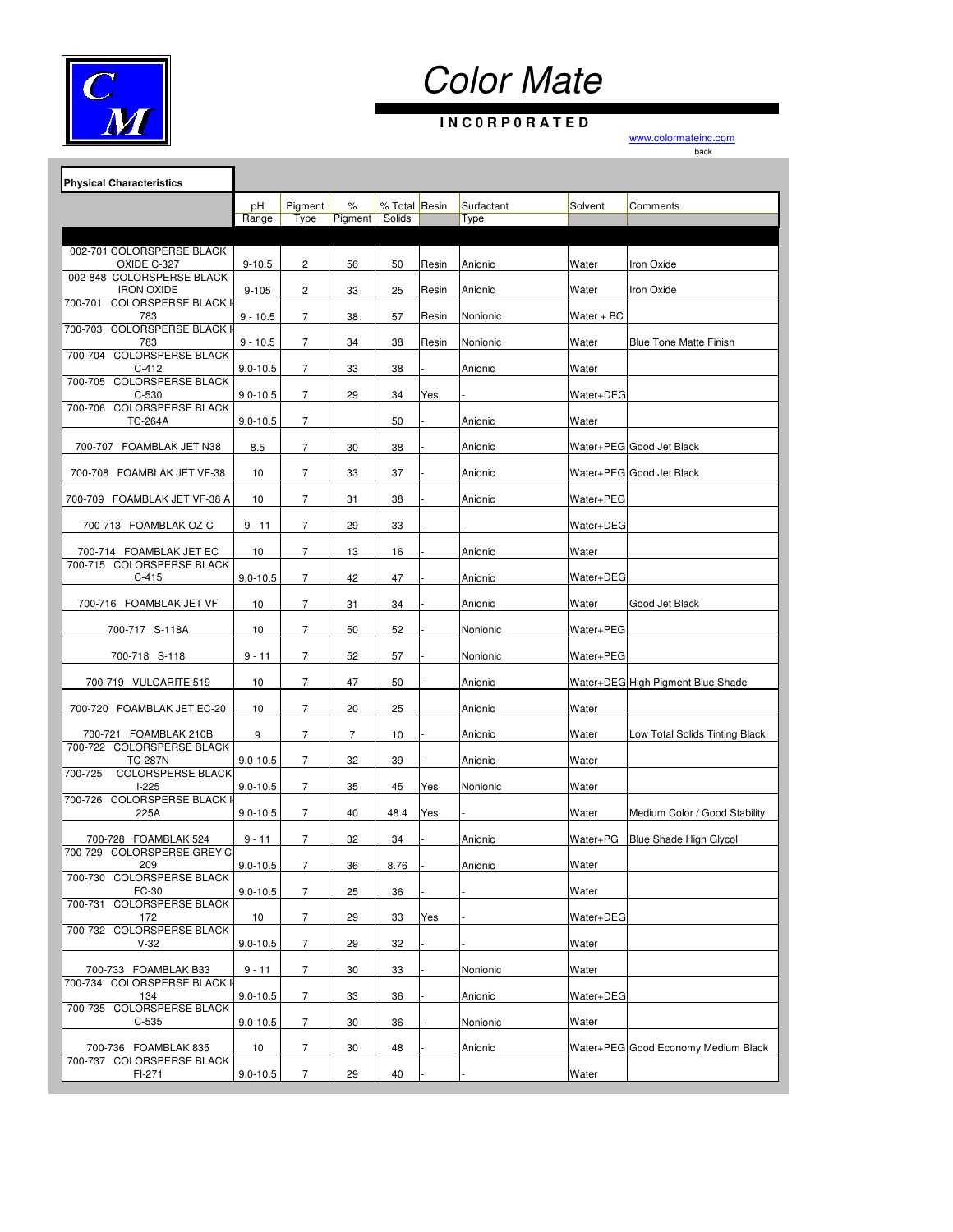

### **I N C 0 R P 0 R A T E D**

| <b>Physical Characteristics</b>                                           |              |                        |                     |                         |       |                    |              |                                     |
|---------------------------------------------------------------------------|--------------|------------------------|---------------------|-------------------------|-------|--------------------|--------------|-------------------------------------|
|                                                                           | pH<br>Range  | Pigment<br><b>Type</b> | %<br><b>Pigment</b> | % Total Resin<br>Solids |       | Surfactant<br>Type | Solvent      | Comments                            |
|                                                                           |              |                        |                     |                         |       |                    |              |                                     |
| 002-701 COLORSPERSE BLACK<br>OXIDE C-327                                  | $9 - 10.5$   | 2                      | 56                  | 50                      | Resin | Anionic            | Water        | Iron Oxide                          |
| 002-848 COLORSPERSE BLACK<br><b>IRON OXIDE</b>                            | $9 - 105$    | 2                      | 33                  | 25                      | Resin | Anionic            | Water        | Iron Oxide                          |
| <b>COLORSPERSE BLACK I</b><br>700-701<br>783<br>700-703 COLORSPERSE BLACK | $9 - 10.5$   | 7                      | 38                  | 57                      | Resin | Nonionic           | $Water + BC$ |                                     |
| 783<br>700-704 COLORSPERSE BLACK                                          | $9 - 10.5$   | 7                      | 34                  | 38                      | Resin | Nonionic           | Water        | <b>Blue Tone Matte Finish</b>       |
| C-412                                                                     | $9.0 - 10.5$ | 7                      | 33                  | 38                      |       | Anionic            | Water        |                                     |
| <b>COLORSPERSE BLACK</b><br>700-705<br>C-530                              | $9.0 - 10.5$ | 7                      | 29                  | 34                      | Yes   |                    | Water+DEG    |                                     |
| <b>COLORSPERSE BLACK</b><br>700-706<br><b>TC-264A</b>                     | $9.0 - 10.5$ | $\overline{7}$         |                     | 50                      |       | Anionic            | Water        |                                     |
| 700-707 FOAMBLAK JET N38                                                  | 8.5          | 7                      | 30                  | 38                      |       | Anionic            |              | Water+PEG Good Jet Black            |
| 700-708 FOAMBLAK JET VF-38                                                | 10           | 7                      | 33                  | 37                      |       | Anionic            |              | Water+PEG Good Jet Black            |
| 700-709 FOAMBLAK JET VF-38 A                                              | 10           | 7                      | 31                  | 38                      |       | Anionic            | Water+PEG    |                                     |
| 700-713 FOAMBLAK OZ-C                                                     | $9 - 11$     | 7                      | 29                  | 33                      |       |                    | Water+DEG    |                                     |
| 700-714 FOAMBLAK JET EC<br>700-715 COLORSPERSE BLACK                      | 10           | 7                      | 13                  | 16                      |       | Anionic            | Water        |                                     |
| $C-415$                                                                   | $9.0 - 10.5$ | 7                      | 42                  | 47                      |       | Anionic            | Water+DEG    |                                     |
| 700-716 FOAMBLAK JET VF                                                   | 10           | 7                      | 31                  | 34                      |       | Anionic            | Water        | Good Jet Black                      |
| 700-717 S-118A                                                            | 10           | 7                      | 50                  | 52                      |       | Nonionic           | Water+PEG    |                                     |
| 700-718 S-118                                                             | $9 - 11$     | 7                      | 52                  | 57                      |       | Nonionic           | Water+PEG    |                                     |
| 700-719 VULCARITE 519                                                     | 10           | 7                      | 47                  | 50                      |       | Anionic            |              | Water+DEG High Pigment Blue Shade   |
| 700-720 FOAMBLAK JET EC-20                                                | 10           | 7                      | 20                  | 25                      |       | Anionic            | Water        |                                     |
| 700-721 FOAMBLAK 210B<br>700-722 COLORSPERSE BLACK                        | 9            | 7                      | $\overline{7}$      | 10                      |       | Anionic            | Water        | Low Total Solids Tinting Black      |
| <b>TC-287N</b>                                                            | $9.0 - 10.5$ | $\overline{7}$         | 32                  | 39                      |       | Anionic            | Water        |                                     |
| <b>COLORSPERSE BLACK</b><br>700-725<br>$1-225$                            | $9.0 - 10.5$ | 7                      | 35                  | 45                      | Yes   | Nonionic           | Water        |                                     |
| <b>COLORSPERSE BLACK</b><br>700-726<br>225A                               | $9.0 - 10.5$ | 7                      | 40                  | 48.4                    | Yes   |                    | Water        | Medium Color / Good Stability       |
| 700-728 FOAMBLAK 524                                                      | $9 - 11$     | 7                      | 32                  | 34                      |       | Anionic            | Water+PG     | Blue Shade High Glycol              |
| 700-729 COLORSPERSE GREY C<br>209                                         | $9.0 - 10.5$ | 7                      | 36                  | 8.76                    |       | Anionic            | Water        |                                     |
| 700-730 COLORSPERSE BLACK<br>FC-30                                        | $9.0 - 10.5$ | $\overline{7}$         | 25                  | 36                      |       |                    | Water        |                                     |
| <b>COLORSPERSE BLACK</b><br>700-731<br>172                                | 10           | 7                      | 29                  | 33                      | Yes   |                    | Water+DEG    |                                     |
| 700-732 COLORSPERSE BLACK<br>$V-32$                                       | $9.0 - 10.5$ | 7                      | 29                  | 32                      |       |                    | Water        |                                     |
| 700-733 FOAMBLAK B33                                                      | $9 - 11$     | 7                      | 30                  | 33                      |       | Nonionic           | Water        |                                     |
| <b>COLORSPERSE BLACK I</b><br>700-734<br>134                              | $9.0 - 10.5$ | 7                      | 33                  | 36                      |       | Anionic            | Water+DEG    |                                     |
| 700-735 COLORSPERSE BLACK<br>C-535                                        | $9.0 - 10.5$ | 7                      | 30                  | 36                      |       | Nonionic           | Water        |                                     |
| 700-736 FOAMBLAK 835                                                      | 10           | 7                      | 30                  | 48                      |       | Anionic            |              | Water+PEG Good Economy Medium Black |
| 700-737 COLORSPERSE BLACK<br>FI-271                                       | $9.0 - 10.5$ | 7                      | 29                  | 40                      |       |                    | Water        |                                     |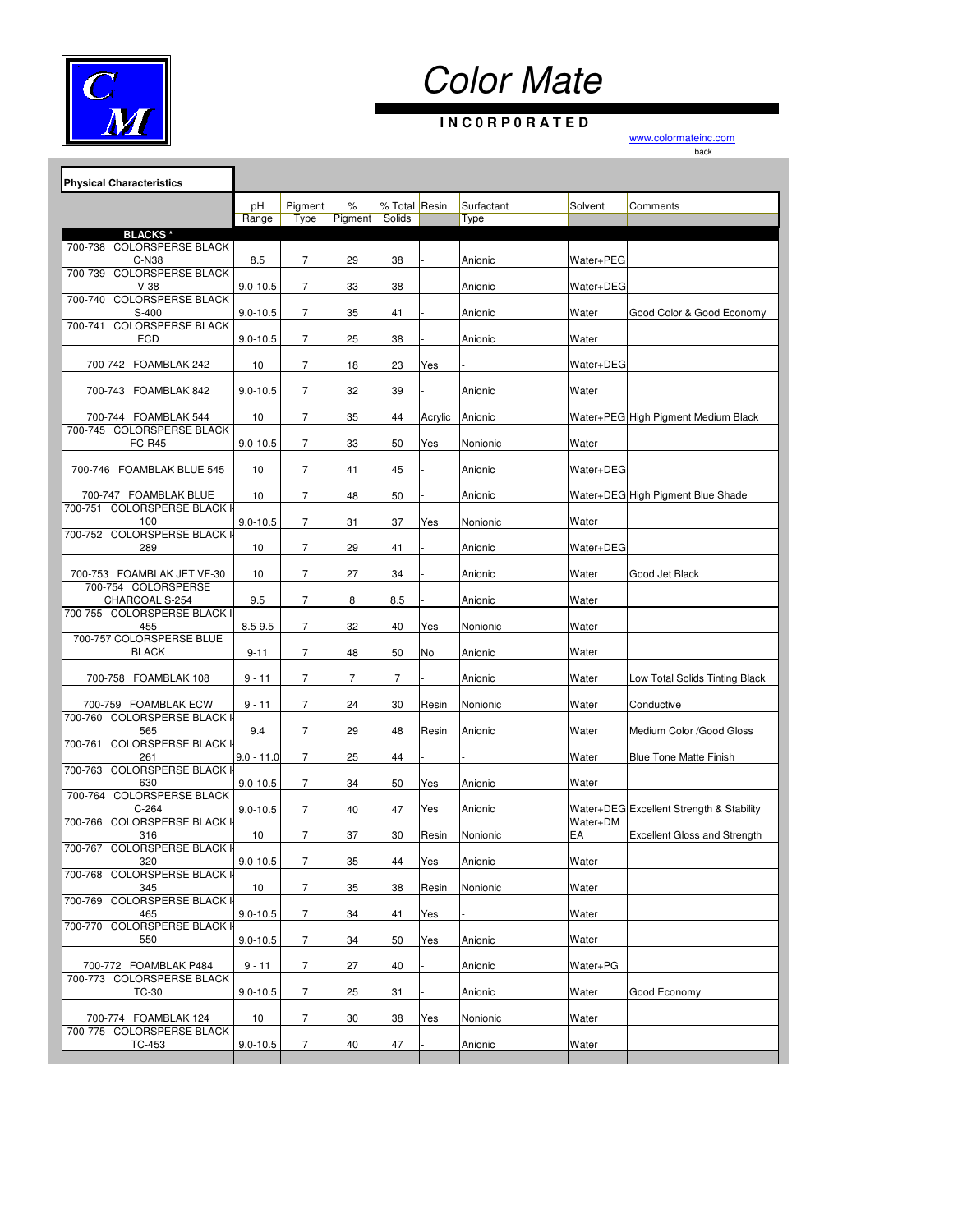

### **I N C 0 R P 0 R A T E D**

| <b>Physical Characteristics</b>                                |              |                |         |               |         |            |                |                                          |
|----------------------------------------------------------------|--------------|----------------|---------|---------------|---------|------------|----------------|------------------------------------------|
|                                                                | pH           | Pigment        | %       | % Total Resin |         | Surfactant | Solvent        | Comments                                 |
|                                                                | Range        | Type           | Pigment | Solids        |         | Type       |                |                                          |
| <b>BLACKS*</b><br>700-738 COLORSPERSE BLACK                    |              |                |         |               |         |            |                |                                          |
| C-N38                                                          | 8.5          | 7              | 29      | 38            |         | Anionic    | Water+PEG      |                                          |
| 700-739 COLORSPERSE BLACK<br>$V-38$                            | $9.0 - 10.5$ | $\overline{7}$ | 33      | 38            |         | Anionic    | Water+DEG      |                                          |
| <b>COLORSPERSE BLACK</b><br>700-740<br>S-400                   | $9.0 - 10.5$ | 7              | 35      | 41            |         | Anionic    | Water          | Good Color & Good Economy                |
| <b>COLORSPERSE BLACK</b><br>700-741<br>ECD                     | $9.0 - 10.5$ | 7              | 25      | 38            |         | Anionic    | Water          |                                          |
| 700-742 FOAMBLAK 242                                           | 10           | $\overline{7}$ | 18      | 23            | Yes     |            | Water+DEG      |                                          |
| 700-743 FOAMBLAK 842                                           | $9.0 - 10.5$ | 7              | 32      | 39            |         | Anionic    | Water          |                                          |
| 700-744 FOAMBLAK 544                                           | 10           | 7              | 35      | 44            | Acrylic | Anionic    |                | Water+PEG High Pigment Medium Black      |
| 700-745<br><b>COLORSPERSE BLACK</b><br><b>FC-R45</b>           | $9.0 - 10.5$ | 7              | 33      | 50            | Yes     | Nonionic   | Water          |                                          |
|                                                                |              |                |         |               |         |            |                |                                          |
| 700-746 FOAMBLAK BLUE 545                                      | 10           | 7              | 41      | 45            |         | Anionic    | Water+DEG      |                                          |
| 700-747 FOAMBLAK BLUE<br>700-751<br><b>COLORSPERSE BLACK I</b> | 10           | $\overline{7}$ | 48      | 50            |         | Anionic    |                | Water+DEG High Pigment Blue Shade        |
| 100<br>700-752 COLORSPERSE BLACK I                             | $9.0 - 10.5$ | 7              | 31      | 37            | Yes     | Nonionic   | Water          |                                          |
| 289                                                            | 10           | 7              | 29      | 41            |         | Anionic    | Water+DEG      |                                          |
| 700-753 FOAMBLAK JET VF-30<br>700-754 COLORSPERSE              | 10           | $\overline{7}$ | 27      | 34            |         | Anionic    | Water          | Good Jet Black                           |
| CHARCOAL S-254                                                 | 9.5          | 7              | 8       | 8.5           |         | Anionic    | Water          |                                          |
| 700-755 COLORSPERSE BLACK I<br>455                             | $8.5 - 9.5$  | $\overline{7}$ | 32      | 40            | Yes     | Nonionic   | Water          |                                          |
| 700-757 COLORSPERSE BLUE<br><b>BLACK</b>                       | $9 - 11$     | 7              | 48      | 50            | No      | Anionic    | Water          |                                          |
| 700-758 FOAMBLAK 108                                           | $9 - 11$     | 7              | 7       | 7             |         | Anionic    | Water          | Low Total Solids Tinting Black           |
| 700-759 FOAMBLAK ECW                                           | $9 - 11$     | 7              | 24      | 30            | Resin   | Nonionic   | Water          | Conductive                               |
| <b>COLORSPERSE BLACK I</b><br>700-760<br>565                   | 9.4          | 7              | 29      | 48            | Resin   | Anionic    | Water          | Medium Color / Good Gloss                |
| 700-761 COLORSPERSE BLACK<br>261                               | $9.0 - 11.0$ | $\overline{7}$ | 25      | 44            |         |            | Water          | <b>Blue Tone Matte Finish</b>            |
| <b>COLORSPERSE BLACK I</b><br>700-763<br>630                   | $9.0 - 10.5$ | 7              | 34      | 50            | Yes     | Anionic    | Water          |                                          |
| 700-764 COLORSPERSE BLACK<br>C-264                             | $9.0 - 10.5$ | 7              | 40      | 47            | Yes     | Anionic    |                | Water+DEG Excellent Strength & Stability |
| <b>COLORSPERSE BLACK</b><br>700-766<br>316                     | 10           | 7              | 37      | 30            | Resin   | Nonionic   | Water+DM<br>EA | <b>Excellent Gloss and Strength</b>      |
| <b>COLORSPERSE BLACK</b><br>700-767<br>320                     | $9.0 - 10.5$ | 7              | 35      | 44            | Yes     | Anionic    | Water          |                                          |
| 700-768 COLORSPERSE BLACK I<br>345                             | 10           | $\overline{7}$ | 35      | 38            | Resin   | Nonionic   | Water          |                                          |
| 700-769 COLORSPERSE BLACK I                                    |              | $\overline{7}$ |         | 41            |         |            |                |                                          |
| 465<br>700-770 COLORSPERSE BLACK I                             | $9.0 - 10.5$ |                | 34      |               | Yes     |            | Water          |                                          |
| 550                                                            | $9.0 - 10.5$ | 7              | 34      | 50            | Yes     | Anionic    | Water          |                                          |
| 700-772 FOAMBLAK P484<br>700-773<br><b>COLORSPERSE BLACK</b>   | $9 - 11$     | $\overline{7}$ | 27      | 40            |         | Anionic    | Water+PG       |                                          |
| TC-30                                                          | $9.0 - 10.5$ | 7              | 25      | 31            |         | Anionic    | Water          | Good Economy                             |
| 700-774 FOAMBLAK 124<br>700-775 COLORSPERSE BLACK              | 10           | $\overline{7}$ | 30      | 38            | Yes     | Nonionic   | Water          |                                          |
| TC-453                                                         | $9.0 - 10.5$ | $\overline{7}$ | 40      | 47            |         | Anionic    | Water          |                                          |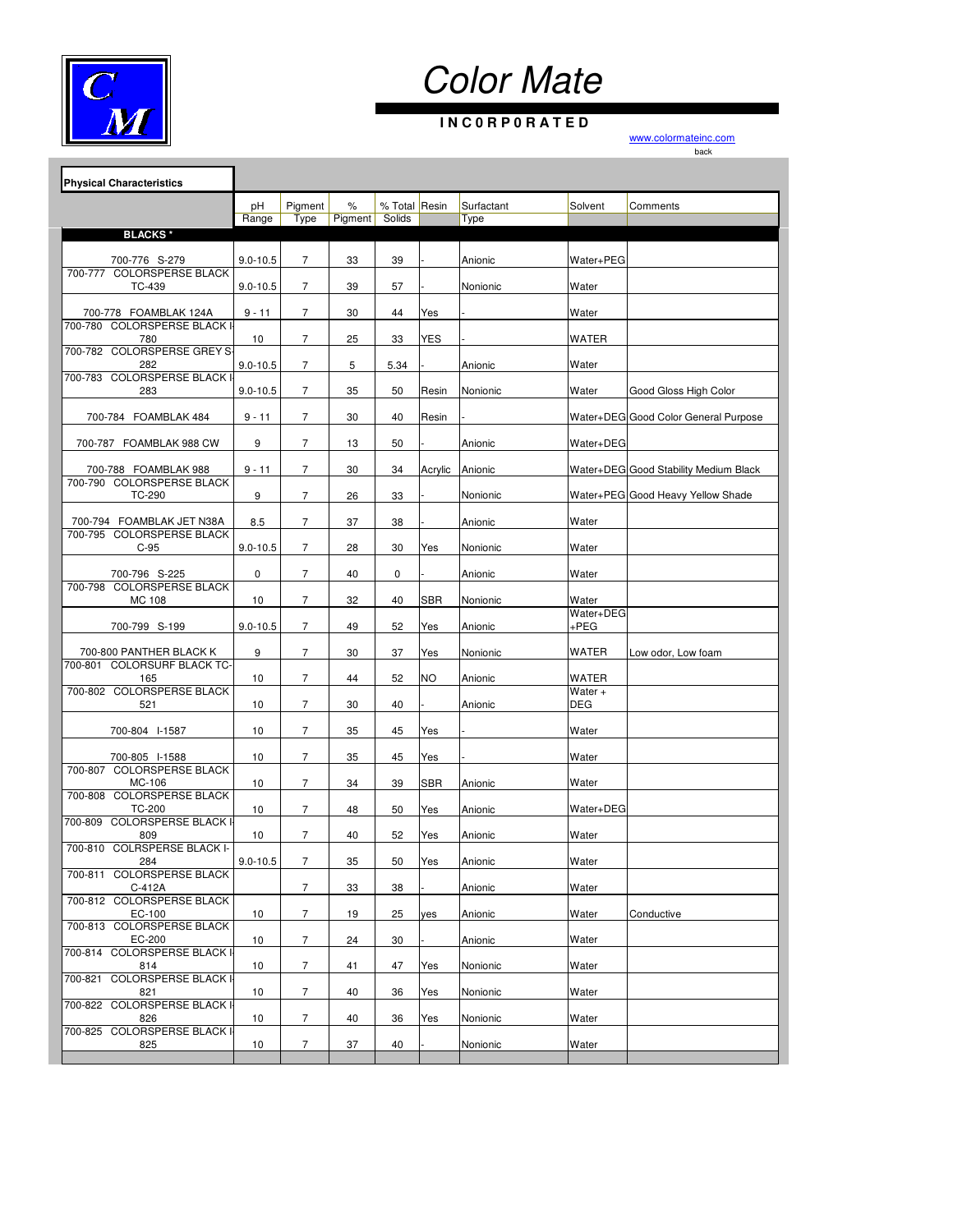

### **I N C 0 R P 0 R A T E D**

| <b>Physical Characteristics</b>                                   |              |                |         |               |            |            |                    |                                       |
|-------------------------------------------------------------------|--------------|----------------|---------|---------------|------------|------------|--------------------|---------------------------------------|
|                                                                   | pH           | Pigment        | $\%$    | % Total Resin |            | Surfactant | Solvent            | Comments                              |
|                                                                   | Range        | <b>Type</b>    | Pigment | Solids        |            | Type       |                    |                                       |
| <b>BLACKS*</b>                                                    |              |                |         |               |            |            |                    |                                       |
| 700-776 S-279                                                     | $9.0 - 10.5$ | $\overline{7}$ | 33      | 39            |            | Anionic    | Water+PEG          |                                       |
| <b>COLORSPERSE BLACK</b><br>700-777<br>TC-439                     | $9.0 - 10.5$ | 7              | 39      | 57            |            | Nonionic   | Water              |                                       |
| 700-778 FOAMBLAK 124A<br>700-780                                  | $9 - 11$     | 7              | 30      | 44            | Yes        |            | Water              |                                       |
| <b>COLORSPERSE BLACK I</b><br>780<br>700-782 COLORSPERSE GREY S   | 10           | $\overline{7}$ | 25      | 33            | <b>YES</b> |            | WATER              |                                       |
| 282                                                               | $9.0 - 10.5$ | $\overline{7}$ | 5       | 5.34          |            | Anionic    | Water              |                                       |
| 700-783 COLORSPERSE BLACK I<br>283                                | $9.0 - 10.5$ | 7              | 35      | 50            | Resin      | Nonionic   | Water              | Good Gloss High Color                 |
| 700-784 FOAMBLAK 484                                              | $9 - 11$     | 7              | 30      | 40            | Resin      |            |                    | Water+DEG Good Color General Purpose  |
| 700-787 FOAMBLAK 988 CW                                           | 9            | $\overline{7}$ | 13      | 50            |            | Anionic    | Water+DEG          |                                       |
| 700-788 FOAMBLAK 988<br>700-790 COLORSPERSE BLACK                 | $9 - 11$     | $\overline{7}$ | 30      | 34            | Acrylic    | Anionic    |                    | Water+DEG Good Stability Medium Black |
| <b>TC-290</b>                                                     | 9            | $\overline{7}$ | 26      | 33            |            | Nonionic   |                    | Water+PEG Good Heavy Yellow Shade     |
| 700-794 FOAMBLAK JET N38A<br>700-795 COLORSPERSE BLACK            | 8.5          | $\overline{7}$ | 37      | 38            |            | Anionic    | Water              |                                       |
| $C-95$                                                            | $9.0 - 10.5$ | 7              | 28      | 30            | Yes        | Nonionic   | Water              |                                       |
| 700-796 S-225<br>700-798 COLORSPERSE BLACK                        | $\mathbf 0$  | 7              | 40      | 0             |            | Anionic    | Water              |                                       |
| MC 108                                                            | 10           | $\overline{7}$ | 32      | 40            | <b>SBR</b> | Nonionic   | Water<br>Water+DEG |                                       |
| 700-799 S-199                                                     | $9.0 - 10.5$ | $\overline{7}$ | 49      | 52            | Yes        | Anionic    | +PEG               |                                       |
| 700-800 PANTHER BLACK K                                           | 9            | $\overline{7}$ | 30      | 37            | Yes        | Nonionic   | WATER              | Low odor, Low foam                    |
| 700-801 COLORSURF BLACK TC-<br>165                                | 10           | 7              | 44      | 52            | NO         | Anionic    | WATER              |                                       |
| 700-802 COLORSPERSE BLACK<br>521                                  | 10           | 7              | 30      | 40            |            | Anionic    | Water $+$<br>DEG   |                                       |
| 700-804 I-1587                                                    | 10           | 7              | 35      | 45            | Yes        |            | Water              |                                       |
| 700-805 I-1588                                                    | 10           | $\overline{7}$ | 35      | 45            | Yes        |            | Water              |                                       |
| 700-807<br><b>COLORSPERSE BLACK</b><br>MC-106                     | 10           | $\overline{7}$ | 34      | 39            | SBR        | Anionic    | Water              |                                       |
| 700-808 COLORSPERSE BLACK<br>TC-200                               | 10           | 7              | 48      | 50            | Yes        | Anionic    | Water+DEG          |                                       |
| <b>COLORSPERSE BLACK I</b><br>700-809<br>809                      | 10           | 7              | 40      | 52            | Yes        | Anionic    | Water              |                                       |
| 700-810 COLRSPERSE BLACK I-<br>284                                | $9.0 - 10.5$ | 7              | 35      | 50            | Yes        | Anionic    | Water              |                                       |
| 700-811 COLORSPERSE BLACK<br>C-412A                               |              | $\overline{7}$ | 33      | 38            |            | Anionic    | Water              |                                       |
| 700-812 COLORSPERSE BLACK<br>EC-100                               | 10           | $\overline{7}$ | 19      | 25            | yes        | Anionic    | Water              | Conductive                            |
| 700-813 COLORSPERSE BLACK<br>EC-200                               | 10           | $\overline{7}$ | 24      | 30            |            | Anionic    | Water              |                                       |
| <b>COLORSPERSE BLACK I</b><br>700-814<br>814                      | 10           | $\overline{7}$ | 41      | 47            | Yes        | Nonionic   | Water              |                                       |
| 700-821<br><b>COLORSPERSE BLACK I</b><br>821                      | 10           | 7              | 40      | 36            | Yes        | Nonionic   | Water              |                                       |
| 700-822 COLORSPERSE BLACK I<br>826<br>700-825 COLORSPERSE BLACK I | 10           | $\overline{7}$ | 40      | 36            | Yes        | Nonionic   | Water              |                                       |
| 825                                                               | 10           | $\overline{7}$ | 37      | 40            |            | Nonionic   | Water              |                                       |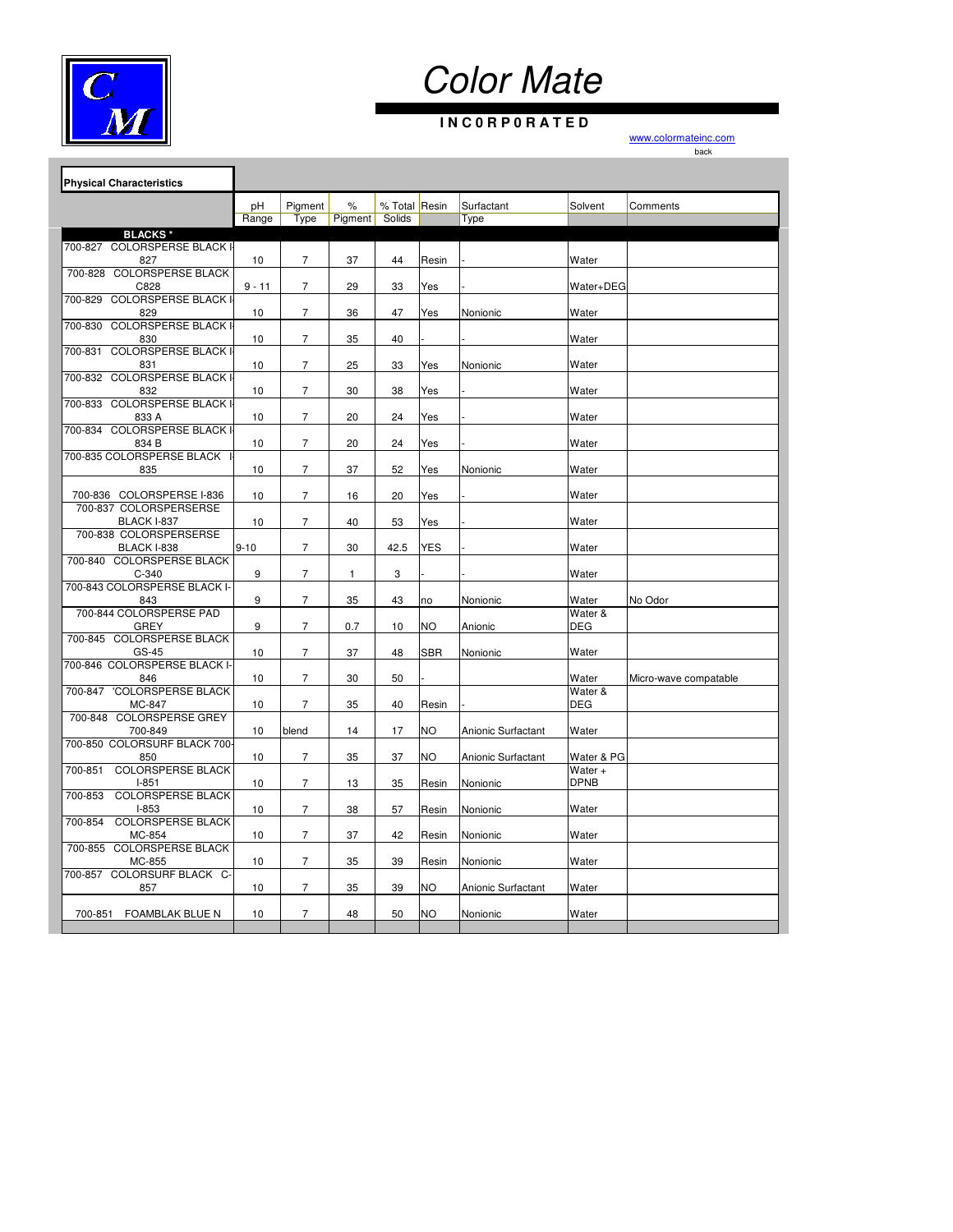

### **I N C 0 R P 0 R A T E D**

| <b>Physical Characteristics</b>               |          |                |              |               |           |                    |                  |                       |
|-----------------------------------------------|----------|----------------|--------------|---------------|-----------|--------------------|------------------|-----------------------|
|                                               | pH       | Pigment        | $\%$         | % Total Resin |           | Surfactant         | Solvent          | Comments              |
|                                               | Range    | <b>Type</b>    | Pigment      | Solids        |           | Type               |                  |                       |
| <b>BLACKS*</b>                                |          |                |              |               |           |                    |                  |                       |
| 700-827 COLORSPERSE BLACK I                   |          |                |              |               |           |                    |                  |                       |
| 827                                           | 10       | $\overline{7}$ | 37           | 44            | Resin     |                    | Water            |                       |
| 700-828 COLORSPERSE BLACK                     |          |                |              |               |           |                    |                  |                       |
| C828                                          | $9 - 11$ | $\overline{7}$ | 29           | 33            | Yes       |                    | Water+DEG        |                       |
| 700-829<br><b>COLORSPERSE BLACK I</b>         |          |                |              |               |           |                    |                  |                       |
| 829                                           | $10$     | $\overline{7}$ | 36           | 47            | Yes       | Nonionic           | Water            |                       |
| <b>COLORSPERSE BLACK I</b><br>700-830         |          |                |              |               |           |                    |                  |                       |
| 830<br><b>COLORSPERSE BLACK I</b><br>700-831  | 10       | $\overline{7}$ | 35           | 40            |           |                    | Water            |                       |
| 831                                           | 10       | $\overline{7}$ | 25           | 33            | Yes       | Nonionic           | Water            |                       |
| 700-832 COLORSPERSE BLACK I                   |          |                |              |               |           |                    |                  |                       |
| 832                                           | 10       | $\overline{7}$ | 30           | 38            | Yes       |                    | Water            |                       |
| <b>COLORSPERSE BLACK I</b><br>700-833         |          |                |              |               |           |                    |                  |                       |
| 833 A                                         | 10       | $\overline{7}$ | 20           | 24            | Yes       |                    | Water            |                       |
| <b>COLORSPERSE BLACK I</b><br>700-834         |          |                |              |               |           |                    |                  |                       |
| 834 B                                         | 10       | $\overline{7}$ | 20           | 24            | Yes       |                    | Water            |                       |
| 700-835 COLORSPERSE BLACK                     |          |                |              |               |           |                    |                  |                       |
| 835                                           | 10       | $\overline{7}$ | 37           | 52            | Yes       | Nonionic           | Water            |                       |
| 700-836 COLORSPERSE I-836                     | 10       | $\overline{7}$ | 16           | 20            | Yes       |                    | Water            |                       |
| 700-837 COLORSPERSERSE                        |          |                |              |               |           |                    |                  |                       |
| BLACK I-837                                   | 10       | $\overline{7}$ | 40           | 53            | Yes       |                    | Water            |                       |
| 700-838 COLORSPERSERSE                        |          |                |              |               |           |                    |                  |                       |
| BLACK I-838                                   | $9 - 10$ | $\overline{7}$ | 30           | 42.5          | YES       |                    | Water            |                       |
| <b>COLORSPERSE BLACK</b><br>700-840           |          |                |              |               |           |                    |                  |                       |
| $C-340$                                       | 9        | $\overline{7}$ | $\mathbf{1}$ | 3             |           |                    | Water            |                       |
| 700-843 COLORSPERSE BLACK I-                  |          |                |              |               |           |                    |                  |                       |
| 843<br>700-844 COLORSPERSE PAD                | 9        | $\overline{7}$ | 35           | 43            | no        | Nonionic           | Water<br>Water & | No Odor               |
| GREY                                          | 9        | 7              | 0.7          | 10            | <b>NO</b> | Anionic            | DEG              |                       |
| 700-845 COLORSPERSE BLACK                     |          |                |              |               |           |                    |                  |                       |
| GS-45                                         | 10       | $\overline{7}$ | 37           | 48            | SBR       | Nonionic           | Water            |                       |
| 700-846 COLORSPERSE BLACK I-                  |          |                |              |               |           |                    |                  |                       |
| 846                                           | 10       | $\overline{7}$ | 30           | 50            |           |                    | Water            | Micro-wave compatable |
| 'COLORSPERSE BLACK<br>700-847                 |          |                |              |               |           |                    | Water &          |                       |
| MC-847                                        | 10       | $\overline{7}$ | 35           | 40            | Resin     |                    | DEG              |                       |
| 700-848 COLORSPERSE GREY<br>700-849           | 10       |                | 14           | 17            |           |                    | Water            |                       |
| 700-850 COLORSURF BLACK 700                   |          | blend          |              |               | <b>NO</b> | Anionic Surfactant |                  |                       |
| 850                                           | 10       | $\overline{7}$ | 35           | 37            | <b>NO</b> | Anionic Surfactant | Water & PG       |                       |
| <b>COLORSPERSE BLACK</b><br>700-851           |          |                |              |               |           |                    | Water +          |                       |
| $1 - 851$                                     | 10       | $\overline{7}$ | 13           | 35            | Resin     | Nonionic           | <b>DPNB</b>      |                       |
| 700-853<br><b>COLORSPERSE BLACK</b>           |          |                |              |               |           |                    |                  |                       |
| $I - 853$                                     | 10       | $\overline{7}$ | 38           | 57            | Resin     | Nonionic           | Water            |                       |
| <b>COLORSPERSE BLACK</b><br>700-854           |          |                |              |               |           |                    |                  |                       |
| MC-854                                        | 10       | 7              | 37           | 42            | Resin     | Nonionic           | Water            |                       |
| 700-855<br><b>COLORSPERSE BLACK</b><br>MC-855 | 10       | $\overline{7}$ | 35           | 39            |           |                    |                  |                       |
| 700-857 COLORSURF BLACK C-                    |          |                |              |               | Resin     | Nonionic           | Water            |                       |
| 857                                           | 10       | $\overline{7}$ | 35           | 39            | <b>NO</b> | Anionic Surfactant | Water            |                       |
|                                               |          |                |              |               |           |                    |                  |                       |
| 700-851<br><b>FOAMBLAK BLUE N</b>             | 10       | $\overline{7}$ | 48           | 50            | <b>NO</b> | Nonionic           | Water            |                       |
|                                               |          |                |              |               |           |                    |                  |                       |